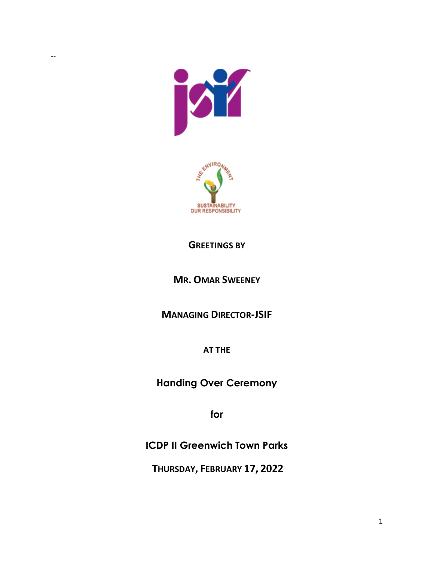



## **GREETINGS BY**

## **MR. OMAR SWEENEY**

**MANAGING DIRECTOR-JSIF**

**AT THE** 

**Handing Over Ceremony**

**for** 

**ICDP II Greenwich Town Parks** 

**THURSDAY, FEBRUARY 17, 2022**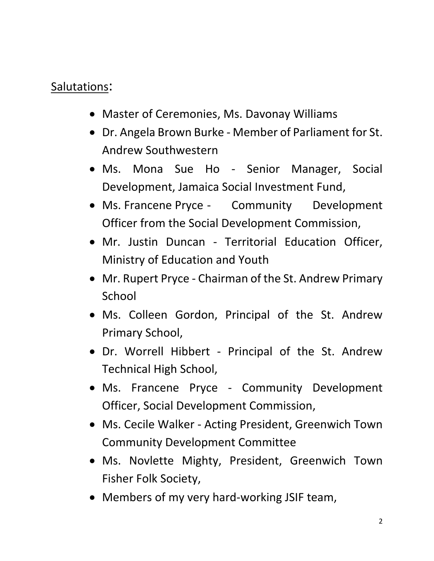## Salutations:

- Master of Ceremonies, Ms. Davonay Williams
- Dr. Angela Brown Burke Member of Parliament for St. Andrew Southwestern
- Ms. Mona Sue Ho Senior Manager, Social Development, Jamaica Social Investment Fund,
- Ms. Francene Pryce Community Development Officer from the Social Development Commission,
- Mr. Justin Duncan Territorial Education Officer, Ministry of Education and Youth
- Mr. Rupert Pryce Chairman of the St. Andrew Primary **School**
- Ms. Colleen Gordon, Principal of the St. Andrew Primary School,
- Dr. Worrell Hibbert Principal of the St. Andrew Technical High School,
- Ms. Francene Pryce Community Development Officer, Social Development Commission,
- Ms. Cecile Walker Acting President, Greenwich Town Community Development Committee
- Ms. Novlette Mighty, President, Greenwich Town Fisher Folk Society,
- Members of my very hard-working JSIF team,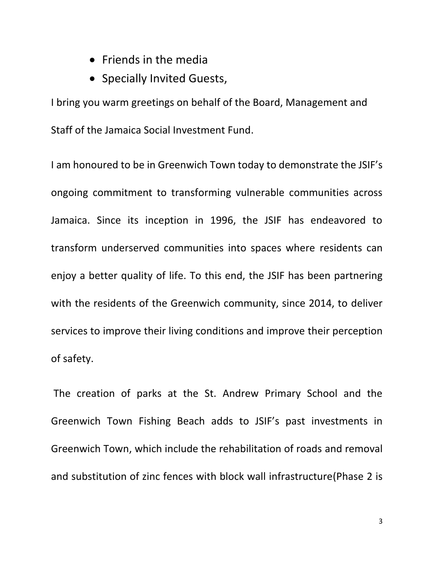- Friends in the media
- Specially Invited Guests,

I bring you warm greetings on behalf of the Board, Management and Staff of the Jamaica Social Investment Fund.

I am honoured to be in Greenwich Town today to demonstrate the JSIF's ongoing commitment to transforming vulnerable communities across Jamaica. Since its inception in 1996, the JSIF has endeavored to transform underserved communities into spaces where residents can enjoy a better quality of life. To this end, the JSIF has been partnering with the residents of the Greenwich community, since 2014, to deliver services to improve their living conditions and improve their perception of safety.

The creation of parks at the St. Andrew Primary School and the Greenwich Town Fishing Beach adds to JSIF's past investments in Greenwich Town, which include the rehabilitation of roads and removal and substitution of zinc fences with block wall infrastructure(Phase 2 is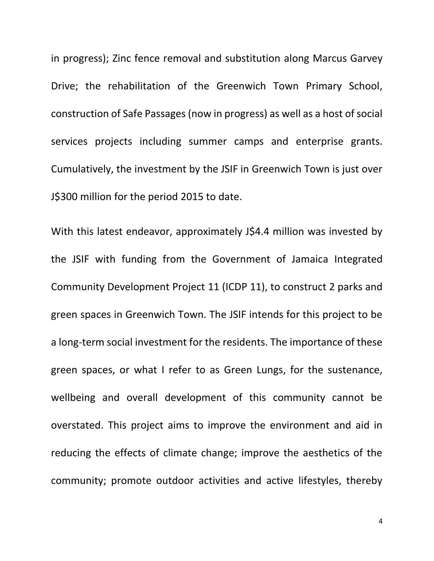in progress); Zinc fence removal and substitution along Marcus Garvey Drive; the rehabilitation of the Greenwich Town Primary School, construction of Safe Passages (now in progress) as well as a host of social services projects including summer camps and enterprise grants. Cumulatively, the investment by the JSIF in Greenwich Town is just over J\$300 million for the period 2015 to date.

With this latest endeavor, approximately J\$4.4 million was invested by the JSIF with funding from the Government of Jamaica Integrated Community Development Project 11 (ICDP 11), to construct 2 parks and green spaces in Greenwich Town. The JSIF intends for this project to be a long-term social investment for the residents. The importance of these green spaces, or what I refer to as Green Lungs, for the sustenance, wellbeing and overall development of this community cannot be overstated. This project aims to improve the environment and aid in reducing the effects of climate change; improve the aesthetics of the community; promote outdoor activities and active lifestyles, thereby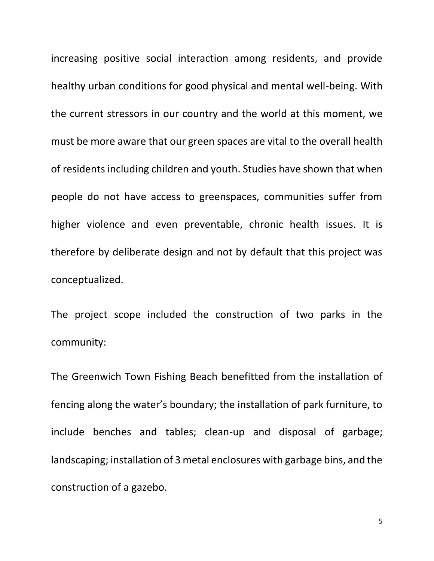increasing positive social interaction among residents, and provide healthy urban conditions for good physical and mental well-being. With the current stressors in our country and the world at this moment, we must be more aware that our green spaces are vital to the overall health of residents including children and youth. Studies have shown that when people do not have access to greenspaces, communities suffer from higher violence and even preventable, chronic health issues. It is therefore by deliberate design and not by default that this project was conceptualized.

The project scope included the construction of two parks in the community:

The Greenwich Town Fishing Beach benefitted from the installation of fencing along the water's boundary; the installation of park furniture, to include benches and tables; clean-up and disposal of garbage; landscaping; installation of 3 metal enclosures with garbage bins, and the construction of a gazebo.

5